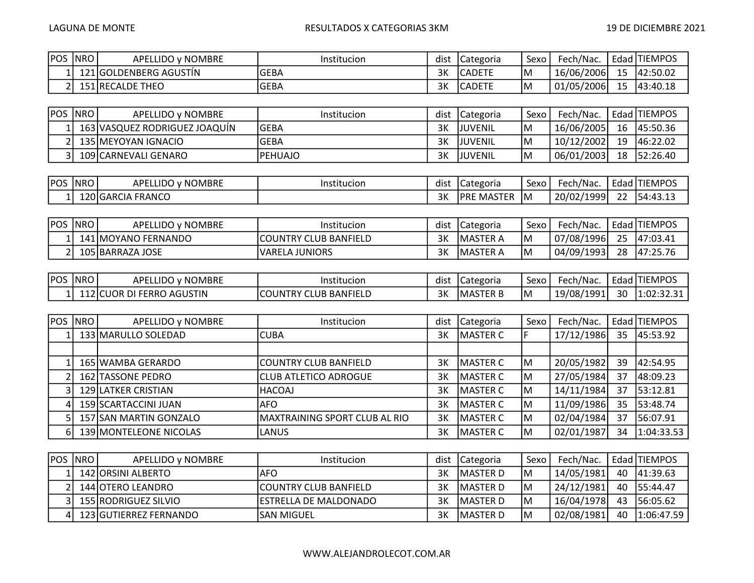| <b>POS</b> | <b>NRO</b> | APELLIDO y NOMBRE      | Institucion  | dist | l Categoria    | Sexo | Fech/Nac.    | Edad | J ITIEMPOS |
|------------|------------|------------------------|--------------|------|----------------|------|--------------|------|------------|
|            |            | 121 GOLDENBERG AGUSTIN | <b>IGEBA</b> | 3K   | <b>ICADETE</b> | IM.  | 16/06/2006   | 15   | 42:50.02   |
|            |            | 151 RECALDE THEO       | <b>IGEBA</b> | 3K   | <b>ICADETE</b> | ΙM   | ' 01/05/2006 | 15   | 43:40.18   |

| POS  NRO | APELLIDO y NOMBRE             | Institucion | dist | <b>ICategoria</b> | Sexo | Fech/Nac.  |    | Edad   TIEMPOS |
|----------|-------------------------------|-------------|------|-------------------|------|------------|----|----------------|
|          | 163 VASQUEZ RODRIGUEZ JOAQUÍN | lGEBA       | 3K   | <b>IJUVENIL</b>   | ΙM   | 16/06/2005 | 16 | 145:50.36      |
|          | 135 IMEYOYAN IGNACIO          | lGEBA       | 3K   | <b>IJUVENIL</b>   | ΙM   | 10/12/2002 | 19 | 146:22.02      |
|          | 109 CARNEVALI GENARO          | IPEHUAJO    | 3K   | <b>IJUVENIL</b>   | ΙM   | 06/01/2003 | 18 | 152:26.40      |

| <b>POS</b> | <b>NRO</b> | ) v NOMBRE<br><b>ELLIDO</b><br>APE! | Institucion | <br>dist | l Categoria        | Sexo | Fech/Nac.  | $\overline{\phantom{0}}$<br>Edad | ' ITIEMPOS |
|------------|------------|-------------------------------------|-------------|----------|--------------------|------|------------|----------------------------------|------------|
|            |            | 120 GARCIA FRANCO                   |             | 3K       | <b>JPRE MASTER</b> | ΙM   | 20/02/1999 | $\sim$<br><u>_ _ _</u>           | '54:43.13  |

| <b>POS</b> | <b>NRO</b> | APELLIDO v NOMBRE   | Institucion                  | dist | Categoria        | Sexo | Fech/Nac.  |    | Edad TIEMPOS |
|------------|------------|---------------------|------------------------------|------|------------------|------|------------|----|--------------|
|            |            | 141 MOYANO FERNANDO | <b>COUNTRY CLUB BANFIELD</b> | ЗΚ   | <b>IMASTER A</b> | IM   | 07/08/1996 | 25 | [47:03.41]   |
|            |            | 105 BARRAZA JOSE    | IVARELA JUNIORS              | ЗΚ   | <b>IMASTER A</b> | IM.  | 04/09/1993 | 28 | 147:25.76    |
|            |            |                     |                              |      |                  |      |            |    |              |

| POS | <b>INRO</b> | v NOMBRE<br>LLIDO<br>APE! | Institucion                             | dist | <b>ICategoria</b> | Sexo | Fech/Nac.  | Edad     | ' TIEMPOS  |
|-----|-------------|---------------------------|-----------------------------------------|------|-------------------|------|------------|----------|------------|
|     | , ו<br>⊥⊥∠  | DI FERRO AGUSTIN<br>UOR   | } BANFIELD<br>'COUNTRY (<br><b>CLUB</b> | ЗΚ   | <b>IMASTER B</b>  | ΙM   | 19/08/1991 | ٩N<br>JU | 1:02:32.31 |

| <b>IPOS</b> | NRO | APELLIDO y NOMBRE      | Institucion                   | dist | Categoria        | Sexo | Fech/Nac.  |    | Edad TIEMPOS |
|-------------|-----|------------------------|-------------------------------|------|------------------|------|------------|----|--------------|
|             |     | 133 MARULLO SOLEDAD    | <b>CUBA</b>                   | 3K   | <b>IMASTER C</b> |      | 17/12/1986 | 35 | 45:53.92     |
|             |     |                        |                               |      |                  |      |            |    |              |
|             |     | 165 WAMBA GERARDO      | <b>COUNTRY CLUB BANFIELD</b>  | 3K   | MASTER C         | IМ   | 20/05/1982 | 39 | 42:54.95     |
|             |     | 162 TASSONE PEDRO      | <b>CLUB ATLETICO ADROGUE</b>  | 3K   | MASTER C         | IМ   | 27/05/1984 | 37 | 48:09.23     |
|             |     | 129 LATKER CRISTIAN    | HACOAJ                        | 3K   | MASTER C         | IМ   | 14/11/1984 | 37 | 53:12.81     |
|             |     | 159 SCARTACCINI JUAN   | IAFO.                         | 3K   | <b>IMASTER C</b> | IМ   | 11/09/1986 | 35 | 53:48.74     |
|             |     | 157 SAN MARTIN GONZALO | MAXTRAINING SPORT CLUB AL RIO | ЗK   | MASTER C         | ΙM   | 02/04/1984 | 37 | 56:07.91     |
|             |     | 139 MONTELEONE NICOLAS | LANUS                         | ЗK   | MASTER C         | lм   | 02/01/1987 | 34 | 1:04:33.53   |

| <b>POS INROI</b> | APELLIDO v NOMBRE       | Institucion            | dist | Categoria        | Sexo | Fech/Nac.  |    | ' Edad TIEMPOS |
|------------------|-------------------------|------------------------|------|------------------|------|------------|----|----------------|
|                  | 142 JORSINI ALBERTO     | AFO                    | ЗK   | <b>IMASTER D</b> | IM.  | 14/05/1981 | 40 | 41:39.63       |
|                  | 144 OTERO LEANDRO       | ICOUNTRY CLUB BANFIELD | ЗK   | <b>IMASTER D</b> | IM.  | 24/12/1981 | 40 | 155:44.47      |
|                  | 3 155 RODRIGUEZ SILVIO  | IESTRELLA DE MALDONADO | ЗK   | <b>IMASTER D</b> | IM.  | 16/04/1978 | 43 | 156:05.62      |
|                  | 123 IGUTIERREZ FERNANDO | ISAN MIGUEL            | ЗK   | <b>IMASTER D</b> | IМ   | 02/08/1981 | 40 | 1:06:47.59     |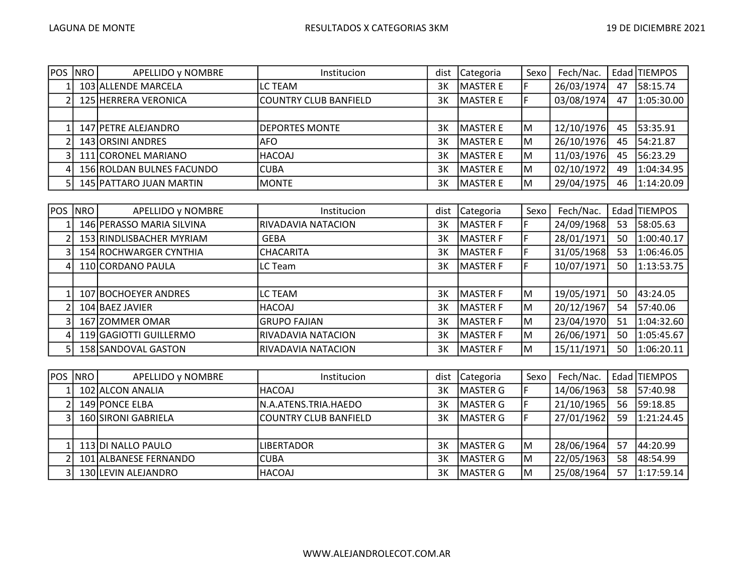| <b>POS</b> | NRO | APELLIDO y NOMBRE         | Institucion                  | dist | Categoria | Sexo | Fech/Nac.  |    | Edad TIEMPOS |
|------------|-----|---------------------------|------------------------------|------|-----------|------|------------|----|--------------|
|            |     | 103 ALLENDE MARCELA       | LC TEAM                      | ЗΚ   | MASTER E  |      | 26/03/1974 | 47 | 58:15.74     |
|            |     | 125 HERRERA VERONICA      | <b>COUNTRY CLUB BANFIELD</b> | 3K   | lmaster e |      | 03/08/1974 | 47 | 1:05:30.00   |
|            |     |                           |                              |      |           |      |            |    |              |
|            |     | 147 PETRE ALEJANDRO       | DEPORTES MONTE               | 3K   | lMASTER E | ΙM   | 12/10/1976 | 45 | 53:35.91     |
|            |     | 143 ORSINI ANDRES         | IAFO.                        | 3K   | lMASTER E | ΙM   | 26/10/1976 | 45 | 54:21.87     |
|            |     | 111 CORONEL MARIANO       | HACOAJ                       | ЗΚ   | lMASTER E | M    | 11/03/1976 | 45 | 56:23.29     |
|            |     | 156 ROLDAN BULNES FACUNDO | <b>CUBA</b>                  | ЗΚ   | lMASTER E | M    | 02/10/1972 | 49 | 1:04:34.95   |
|            |     | 145 PATTARO JUAN MARTIN   | <b>MONTE</b>                 | ЗΚ   | MASTER E  | ΙM   | 29/04/1975 | 46 | 1:14:20.09   |

| <b>POS</b>      | <b>NRO</b> | APELLIDO y NOMBRE         | Institucion         | dist | Categoria        | Sexo | Fech/Nac.  |    | Edad TIEMPOS |
|-----------------|------------|---------------------------|---------------------|------|------------------|------|------------|----|--------------|
|                 |            | 146 PERASSO MARIA SILVINA | RIVADAVIA NATACION  | 3K   | <b>MASTER F</b>  |      | 24/09/1968 | 53 | 58:05.63     |
|                 |            | 153 RINDLISBACHER MYRIAM  | <b>GEBA</b>         | 3K   | MASTER F         |      | 28/01/1971 | 50 | 1:00:40.17   |
|                 |            | 154 ROCHWARGER CYNTHIA    | <b>CHACARITA</b>    | 3K   | <b>IMASTER F</b> |      | 31/05/1968 | 53 | 1:06:46.05   |
| 41              |            | 110 CORDANO PAULA         | LC Team             | 3K   | <b>IMASTER F</b> |      | 10/07/1971 | 50 | 1:13:53.75   |
|                 |            |                           |                     |      |                  |      |            |    |              |
|                 |            | 107 BOCHOEYER ANDRES      | LC TEAM             | 3K   | <b>MASTER F</b>  | lм   | 19/05/1971 | 50 | 43:24.05     |
|                 |            | 104 BAEZ JAVIER           | <b>HACOAJ</b>       | 3K   | <b>IMASTER F</b> | lм   | 20/12/1967 | 54 | 57:40.06     |
|                 |            | 167 ZOMMER OMAR           | <b>GRUPO FAJIAN</b> | 3K   | MASTER F         | lм   | 23/04/1970 | 51 | 1:04:32.60   |
| $\vert 4 \vert$ |            | 119 GAGIOTTI GUILLERMO    | RIVADAVIA NATACION  | 3K   | MASTER F         | lм   | 26/06/1971 | 50 | 1:05:45.67   |
|                 |            | 158 SANDOVAL GASTON       | RIVADAVIA NATACION  | 3K   | MASTER F         | lм   | 15/11/1971 | 50 | 1:06:20.11   |

| <b>POS NRO</b> | APELLIDO y NOMBRE     | <b>Institucion</b>           | dist | Categoria        | Sexo | Fech/Nac.  |    | Edad TIEMPOS |
|----------------|-----------------------|------------------------------|------|------------------|------|------------|----|--------------|
|                | 102 ALCON ANALIA      | <b>HACOAJ</b>                | 3K   | <b>IMASTER G</b> |      | 14/06/1963 | 58 | 57:40.98     |
|                | 149 PONCE ELBA        | N.A.ATENS.TRIA.HAEDO         | 3K   | <b>IMASTER G</b> |      | 21/10/1965 | 56 | 59:18.85     |
|                | 160 SIRONI GABRIELA   | <b>COUNTRY CLUB BANFIELD</b> | 3K   | <b>IMASTER G</b> |      | 27/01/1962 | 59 | 1:21:24.45   |
|                |                       |                              |      |                  |      |            |    |              |
|                | 113 DI NALLO PAULO    | <b>LIBERTADOR</b>            | ЗΚ   | <b>IMASTER G</b> | lм   | 28/06/1964 | 57 | 44:20.99     |
|                | 101 ALBANESE FERNANDO | <b>CUBA</b>                  | 3K   | <b>IMASTER G</b> | lΜ   | 22/05/1963 | 58 | 48:54.99     |
|                | 130 LEVIN ALEJANDRO   | HACOAJ                       | ЗΚ   | <b>IMASTER G</b> | lм   | 25/08/1964 | 57 | 1:17:59.14   |